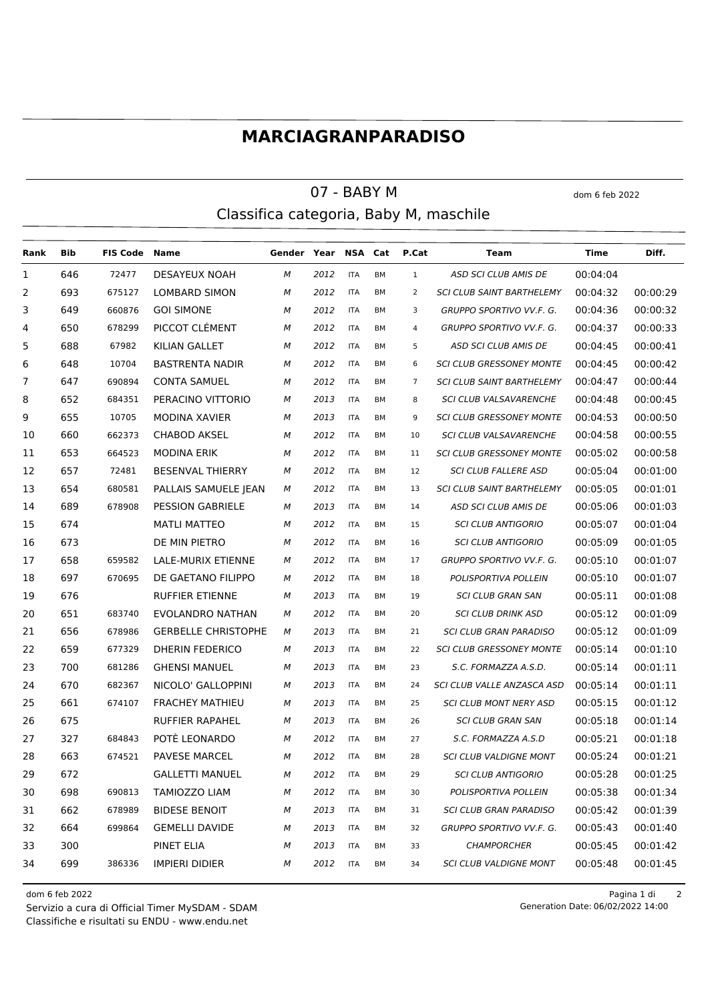## **MARCIAGRANPARADISO**

## $07 - BABY M$  dom 6 feb 2022 Classifica categoria, Baby M, maschile

**Rank Bib FIS Code Name Gender Year NSA Cat P.Cat Team Time Diff.** 646 72477 DESAYEUX NOAH *M 2012* ITA BM 1 *ASD SCI CLUB AMIS DE* 00:04:04 693 675127 LOMBARD SIMON *M 2012* ITA BM 2 *SCI CLUB SAINT BARTHELEMY* 00:04:32 00:00:29 649 660876 GOI SIMONE *M 2012* ITA BM 3 *GRUPPO SPORTIVO VV.F. G.* 00:04:36 00:00:32 650 678299 PICCOT CLÉMENT *M 2012* ITA BM 4 *GRUPPO SPORTIVO VV.F. G.* 00:04:37 00:00:33 688 67982 KILIAN GALLET *M 2012* ITA BM 5 *ASD SCI CLUB AMIS DE* 00:04:45 00:00:41 648 10704 BASTRENTA NADIR *M 2012* ITA BM 6 *SCI CLUB GRESSONEY MONTE* 00:04:45 00:00:42 647 690894 CONTA SAMUEL *M 2012* ITA BM 7 *SCI CLUB SAINT BARTHELEMY* 00:04:47 00:00:44 652 684351 PERACINO VITTORIO *M 2013* ITA BM 8 *SCI CLUB VALSAVARENCHE* 00:04:48 00:00:45 655 10705 MODINA XAVIER *M 2013* ITA BM 9 *SCI CLUB GRESSONEY MONTE* 00:04:53 00:00:50 660 662373 CHABOD AKSEL *M 2012* ITA BM 10 *SCI CLUB VALSAVARENCHE* 00:04:58 00:00:55 653 664523 MODINA ERIK *M 2012* ITA BM 11 *SCI CLUB GRESSONEY MONTE* 00:05:02 00:00:58 657 72481 BESENVAL THIERRY *M 2012* ITA BM 12 *SCI CLUB FALLERE ASD* 00:05:04 00:01:00 654 680581 PALLAIS SAMUELE JEAN *M 2012* ITA BM 13 *SCI CLUB SAINT BARTHELEMY* 00:05:05 00:01:01 689 678908 PESSION GABRIELE *M 2013* ITA BM 14 *ASD SCI CLUB AMIS DE* 00:05:06 00:01:03 674 MATLI MATTEO *M 2012* ITA BM 15 *SCI CLUB ANTIGORIO* 00:05:07 00:01:04 673 DE MIN PIETRO *M 2012* ITA BM 16 *SCI CLUB ANTIGORIO* 00:05:09 00:01:05 658 659582 LALE-MURIX ETIENNE *M 2012* ITA BM 17 *GRUPPO SPORTIVO VV.F. G.* 00:05:10 00:01:07 697 670695 DE GAETANO FILIPPO *M 2012* ITA BM 18 *POLISPORTIVA POLLEIN* 00:05:10 00:01:07 676 RUFFIER ETIENNE *M 2013* ITA BM 19 *SCI CLUB GRAN SAN* 00:05:11 00:01:08 651 683740 EVOLANDRO NATHAN *M 2012* ITA BM 20 *SCI CLUB DRINK ASD* 00:05:12 00:01:09 656 678986 GERBELLE CHRISTOPHE *M 2013* ITA BM 21 *SCI CLUB GRAN PARADISO* 00:05:12 00:01:09 659 677329 DHERIN FEDERICO *M 2013* ITA BM 22 *SCI CLUB GRESSONEY MONTE* 00:05:14 00:01:10 700 681286 GHENSI MANUEL *M 2013* ITA BM 23 *S.C. FORMAZZA A.S.D.* 00:05:14 00:01:11 670 682367 NICOLO' GALLOPPINI *M 2013* ITA BM 24 *SCI CLUB VALLE ANZASCA ASD* 00:05:14 00:01:11 661 674107 FRACHEY MATHIEU *M 2013* ITA BM 25 *SCI CLUB MONT NERY ASD* 00:05:15 00:01:12 675 RUFFIER RAPAHEL *M 2013* ITA BM 26 *SCI CLUB GRAN SAN* 00:05:18 00:01:14 327 684843 POTÈ LEONARDO *M 2012* ITA BM 27 *S.C. FORMAZZA A.S.D* 00:05:21 00:01:18 663 674521 PAVESE MARCEL *M 2012* ITA BM 28 *SCI CLUB VALDIGNE MONT* 00:05:24 00:01:21 672 GALLETTI MANUEL *M 2012* ITA BM 29 *SCI CLUB ANTIGORIO* 00:05:28 00:01:25 698 690813 TAMIOZZO LIAM *M 2012* ITA BM 30 *POLISPORTIVA POLLEIN* 00:05:38 00:01:34 662 678989 BIDESE BENOIT *M 2013* ITA BM 31 *SCI CLUB GRAN PARADISO* 00:05:42 00:01:39 664 699864 GEMELLI DAVIDE *M 2013* ITA BM 32 *GRUPPO SPORTIVO VV.F. G.* 00:05:43 00:01:40 300 PINET ELIA *M 2013* ITA BM 33 *CHAMPORCHER* 00:05:45 00:01:42 699 386336 IMPIERI DIDIER *M 2012* ITA BM 34 *SCI CLUB VALDIGNE MONT* 00:05:48 00:01:45

Classifiche e risultati su ENDU - www.endu.net Servizio a cura di Official Timer MySDAM - SDAM

dom 6 feb 2022 Pagina 1 di 2 Generation Date: 06/02/2022 14:00